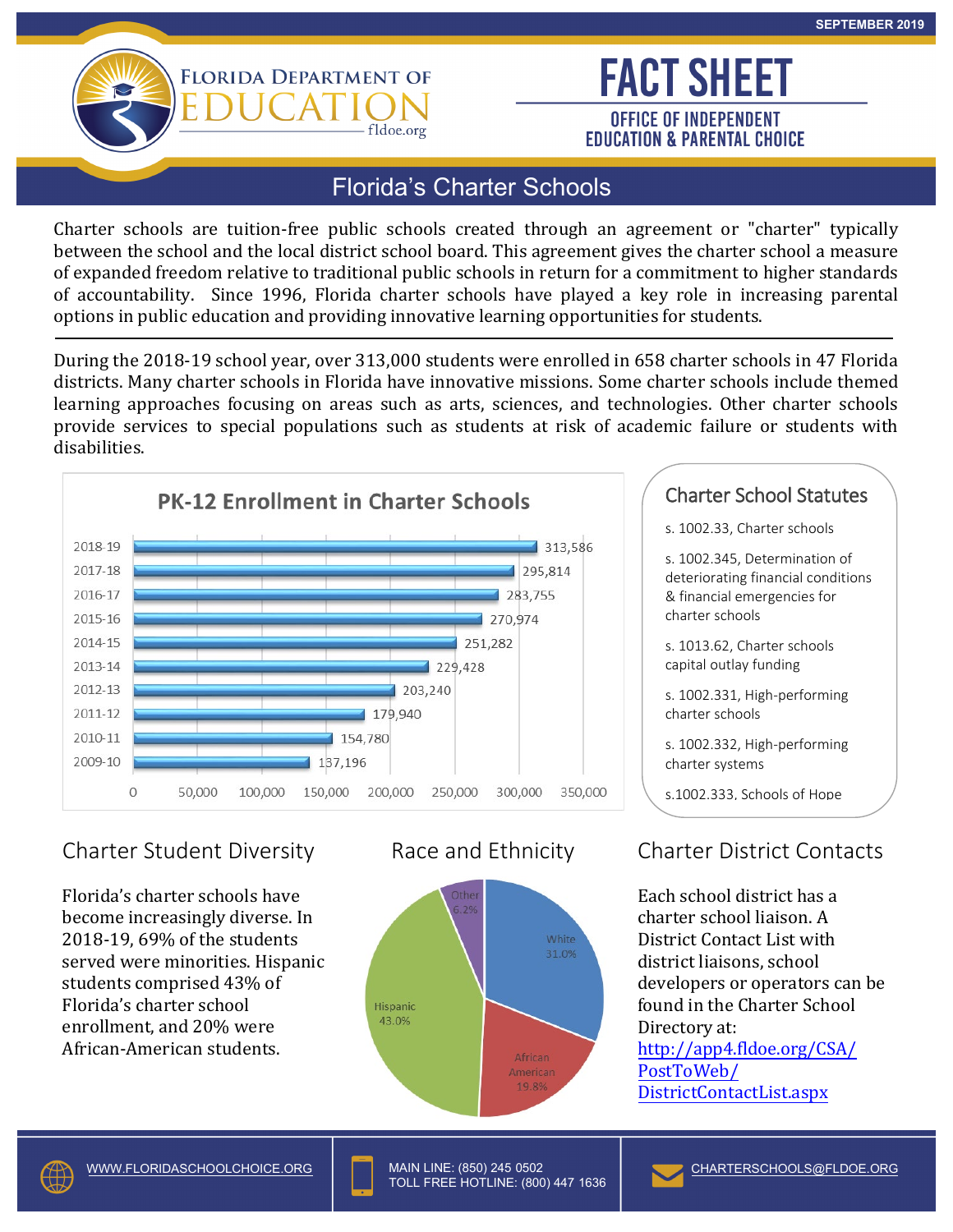

**FACT SHEET OFFICE OF INDEPENDENT EDUCATION & PARENTAL CHOICE** 

### Florida's Charter Schools

fldoe.org

Charter schools are tuition-free public schools created through an agreement or "charter" typically between the school and the local district school board. This agreement gives the charter school a measure of expanded freedom relative to traditional public schools in return for a commitment to higher standards of accountability. Since 1996, Florida charter schools have played a key role in increasing parental options in public education and providing innovative learning opportunities for students.

During the 2018-19 school year, over 313,000 students were enrolled in 658 charter schools in 47 Florida districts. Many charter schools in Florida have innovative missions. Some charter schools include themed learning approaches focusing on areas such as arts, sciences, and technologies. Other charter schools provide services to special populations such as students at risk of academic failure or students with disabilities.



# Charter Student Diversity

Florida's charter schools have become increasingly diverse. In 2018-19, 69% of the students served were minorities. Hispanic students comprised 43% of Florida's charter school enrollment, and 20% were African-American students.



#### Charter School Statutes

s. 1002.33, Charter schools

s. 1002.345, Determination of deteriorating financial conditions & financial emergencies for charter schools

s. 1013.62, Charter schools<br>capital outlay funding

s. 1002.331, High-performing charter schools

s. 1002.332, High-performing charter systems

s.1002.333, Schools of Hope

# Race and Ethnicity Charter District Contacts

Each school district has a charter school liaison. A District Contact List with district liaisons, school developers or operators can be found in the Charter School Directory at: <http://app4.fldoe.org/CSA/> PostToWeb/ DistrictContactList.aspx



MAIN LINE: (850) 245 0502 - TOLL FREE HOTLINE: (800) 447 1636